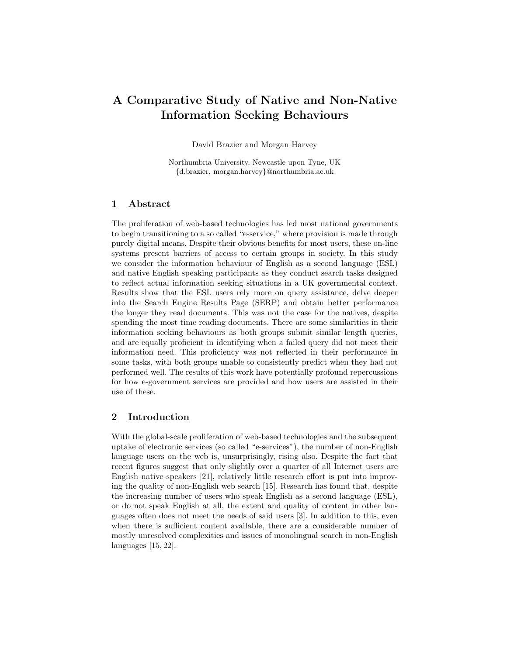# A Comparative Study of Native and Non-Native Information Seeking Behaviours

David Brazier and Morgan Harvey

Northumbria University, Newcastle upon Tyne, UK {d.brazier, morgan.harvey}@northumbria.ac.uk

# 1 Abstract

The proliferation of web-based technologies has led most national governments to begin transitioning to a so called "e-service," where provision is made through purely digital means. Despite their obvious benefits for most users, these on-line systems present barriers of access to certain groups in society. In this study we consider the information behaviour of English as a second language (ESL) and native English speaking participants as they conduct search tasks designed to reflect actual information seeking situations in a UK governmental context. Results show that the ESL users rely more on query assistance, delve deeper into the Search Engine Results Page (SERP) and obtain better performance the longer they read documents. This was not the case for the natives, despite spending the most time reading documents. There are some similarities in their information seeking behaviours as both groups submit similar length queries, and are equally proficient in identifying when a failed query did not meet their information need. This proficiency was not reflected in their performance in some tasks, with both groups unable to consistently predict when they had not performed well. The results of this work have potentially profound repercussions for how e-government services are provided and how users are assisted in their use of these.

## 2 Introduction

With the global-scale proliferation of web-based technologies and the subsequent uptake of electronic services (so called "e-services"), the number of non-English language users on the web is, unsurprisingly, rising also. Despite the fact that recent figures suggest that only slightly over a quarter of all Internet users are English native speakers [21], relatively little research effort is put into improving the quality of non-English web search [15]. Research has found that, despite the increasing number of users who speak English as a second language (ESL), or do not speak English at all, the extent and quality of content in other languages often does not meet the needs of said users [3]. In addition to this, even when there is sufficient content available, there are a considerable number of mostly unresolved complexities and issues of monolingual search in non-English languages [15, 22].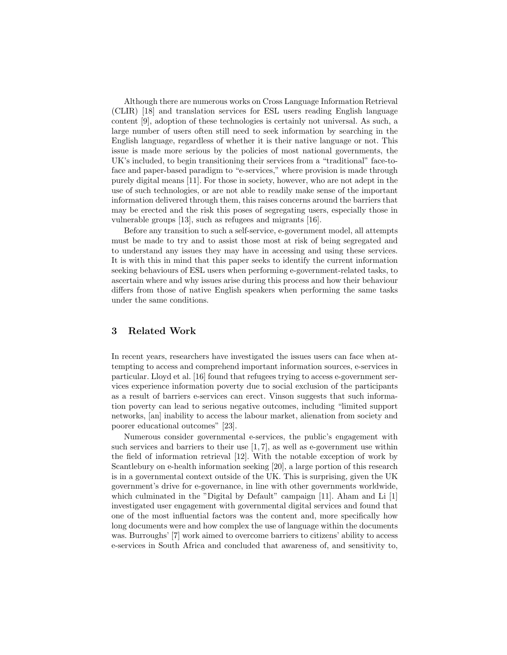Although there are numerous works on Cross Language Information Retrieval (CLIR) [18] and translation services for ESL users reading English language content [9], adoption of these technologies is certainly not universal. As such, a large number of users often still need to seek information by searching in the English language, regardless of whether it is their native language or not. This issue is made more serious by the policies of most national governments, the UK's included, to begin transitioning their services from a "traditional" face-toface and paper-based paradigm to "e-services," where provision is made through purely digital means [11]. For those in society, however, who are not adept in the use of such technologies, or are not able to readily make sense of the important information delivered through them, this raises concerns around the barriers that may be erected and the risk this poses of segregating users, especially those in vulnerable groups [13], such as refugees and migrants [16].

Before any transition to such a self-service, e-government model, all attempts must be made to try and to assist those most at risk of being segregated and to understand any issues they may have in accessing and using these services. It is with this in mind that this paper seeks to identify the current information seeking behaviours of ESL users when performing e-government-related tasks, to ascertain where and why issues arise during this process and how their behaviour differs from those of native English speakers when performing the same tasks under the same conditions.

# 3 Related Work

In recent years, researchers have investigated the issues users can face when attempting to access and comprehend important information sources, e-services in particular. Lloyd et al. [16] found that refugees trying to access e-government services experience information poverty due to social exclusion of the participants as a result of barriers e-services can erect. Vinson suggests that such information poverty can lead to serious negative outcomes, including "limited support networks, [an] inability to access the labour market, alienation from society and poorer educational outcomes" [23].

Numerous consider governmental e-services, the public's engagement with such services and barriers to their use  $[1, 7]$ , as well as e-government use within the field of information retrieval [12]. With the notable exception of work by Scantlebury on e-health information seeking [20], a large portion of this research is in a governmental context outside of the UK. This is surprising, given the UK government's drive for e-governance, in line with other governments worldwide, which culminated in the "Digital by Default" campaign [11]. Aham and Li [1] investigated user engagement with governmental digital services and found that one of the most influential factors was the content and, more specifically how long documents were and how complex the use of language within the documents was. Burroughs' [7] work aimed to overcome barriers to citizens' ability to access e-services in South Africa and concluded that awareness of, and sensitivity to,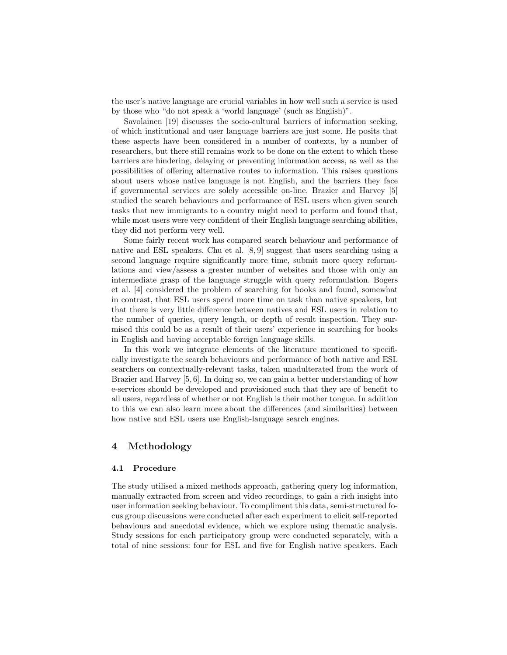the user's native language are crucial variables in how well such a service is used by those who "do not speak a 'world language' (such as English)".

Savolainen [19] discusses the socio-cultural barriers of information seeking, of which institutional and user language barriers are just some. He posits that these aspects have been considered in a number of contexts, by a number of researchers, but there still remains work to be done on the extent to which these barriers are hindering, delaying or preventing information access, as well as the possibilities of offering alternative routes to information. This raises questions about users whose native language is not English, and the barriers they face if governmental services are solely accessible on-line. Brazier and Harvey [5] studied the search behaviours and performance of ESL users when given search tasks that new immigrants to a country might need to perform and found that, while most users were very confident of their English language searching abilities, they did not perform very well.

Some fairly recent work has compared search behaviour and performance of native and ESL speakers. Chu et al. [8, 9] suggest that users searching using a second language require significantly more time, submit more query reformulations and view/assess a greater number of websites and those with only an intermediate grasp of the language struggle with query reformulation. Bogers et al. [4] considered the problem of searching for books and found, somewhat in contrast, that ESL users spend more time on task than native speakers, but that there is very little difference between natives and ESL users in relation to the number of queries, query length, or depth of result inspection. They surmised this could be as a result of their users' experience in searching for books in English and having acceptable foreign language skills.

In this work we integrate elements of the literature mentioned to specifically investigate the search behaviours and performance of both native and ESL searchers on contextually-relevant tasks, taken unadulterated from the work of Brazier and Harvey [5, 6]. In doing so, we can gain a better understanding of how e-services should be developed and provisioned such that they are of benefit to all users, regardless of whether or not English is their mother tongue. In addition to this we can also learn more about the differences (and similarities) between how native and ESL users use English-language search engines.

# 4 Methodology

## 4.1 Procedure

The study utilised a mixed methods approach, gathering query log information, manually extracted from screen and video recordings, to gain a rich insight into user information seeking behaviour. To compliment this data, semi-structured focus group discussions were conducted after each experiment to elicit self-reported behaviours and anecdotal evidence, which we explore using thematic analysis. Study sessions for each participatory group were conducted separately, with a total of nine sessions: four for ESL and five for English native speakers. Each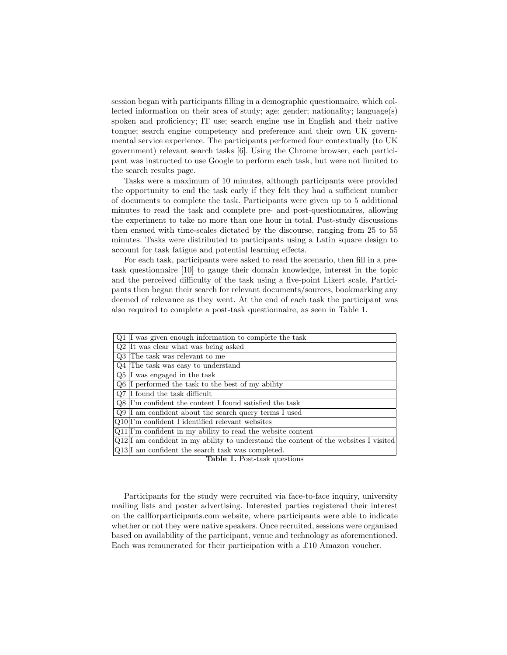session began with participants filling in a demographic questionnaire, which collected information on their area of study; age; gender; nationality; language(s) spoken and proficiency; IT use; search engine use in English and their native tongue; search engine competency and preference and their own UK governmental service experience. The participants performed four contextually (to UK government) relevant search tasks [6]. Using the Chrome browser, each participant was instructed to use Google to perform each task, but were not limited to the search results page.

Tasks were a maximum of 10 minutes, although participants were provided the opportunity to end the task early if they felt they had a sufficient number of documents to complete the task. Participants were given up to 5 additional minutes to read the task and complete pre- and post-questionnaires, allowing the experiment to take no more than one hour in total. Post-study discussions then ensued with time-scales dictated by the discourse, ranging from 25 to 55 minutes. Tasks were distributed to participants using a Latin square design to account for task fatigue and potential learning effects.

For each task, participants were asked to read the scenario, then fill in a pretask questionnaire [10] to gauge their domain knowledge, interest in the topic and the perceived difficulty of the task using a five-point Likert scale. Participants then began their search for relevant documents/sources, bookmarking any deemed of relevance as they went. At the end of each task the participant was also required to complete a post-task questionnaire, as seen in Table 1.

| $Q1$ I was given enough information to complete the task                                               |
|--------------------------------------------------------------------------------------------------------|
| $Q2$ It was clear what was being asked                                                                 |
| Q3 The task was relevant to me                                                                         |
| Q4 The task was easy to understand                                                                     |
| $Q5$ I was engaged in the task                                                                         |
| $Q6$ I performed the task to the best of my ability                                                    |
| $Q7$ I found the task difficult                                                                        |
| $Q8$ I'm confident the content I found satisfied the task                                              |
| $Q9$ I am confident about the search query terms I used                                                |
| $Q10$ <sup>T</sup> m confident I identified relevant websites                                          |
| $\lceil Q11 \rceil$ I'm confident in my ability to read the website content                            |
| $\lbrack Q12 \rbrack$ I am confident in my ability to understand the content of the websites I visited |
| $ Q13 I$ am confident the search task was completed.                                                   |

Table 1. Post-task questions

Participants for the study were recruited via face-to-face inquiry, university mailing lists and poster advertising. Interested parties registered their interest on the callforparticipants.com website, where participants were able to indicate whether or not they were native speakers. Once recruited, sessions were organised based on availability of the participant, venue and technology as aforementioned. Each was remunerated for their participation with a £10 Amazon voucher.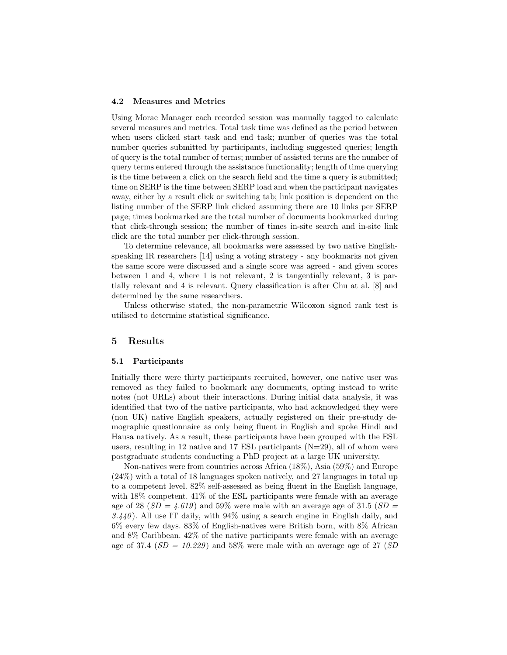### 4.2 Measures and Metrics

Using Morae Manager each recorded session was manually tagged to calculate several measures and metrics. Total task time was defined as the period between when users clicked start task and end task; number of queries was the total number queries submitted by participants, including suggested queries; length of query is the total number of terms; number of assisted terms are the number of query terms entered through the assistance functionality; length of time querying is the time between a click on the search field and the time a query is submitted; time on SERP is the time between SERP load and when the participant navigates away, either by a result click or switching tab; link position is dependent on the listing number of the SERP link clicked assuming there are 10 links per SERP page; times bookmarked are the total number of documents bookmarked during that click-through session; the number of times in-site search and in-site link click are the total number per click-through session.

To determine relevance, all bookmarks were assessed by two native Englishspeaking IR researchers [14] using a voting strategy - any bookmarks not given the same score were discussed and a single score was agreed - and given scores between 1 and 4, where 1 is not relevant, 2 is tangentially relevant, 3 is partially relevant and 4 is relevant. Query classification is after Chu at al. [8] and determined by the same researchers.

Unless otherwise stated, the non-parametric Wilcoxon signed rank test is utilised to determine statistical significance.

## 5 Results

#### 5.1 Participants

Initially there were thirty participants recruited, however, one native user was removed as they failed to bookmark any documents, opting instead to write notes (not URLs) about their interactions. During initial data analysis, it was identified that two of the native participants, who had acknowledged they were (non UK) native English speakers, actually registered on their pre-study demographic questionnaire as only being fluent in English and spoke Hindi and Hausa natively. As a result, these participants have been grouped with the ESL users, resulting in 12 native and 17 ESL participants  $(N=29)$ , all of whom were postgraduate students conducting a PhD project at a large UK university.

Non-natives were from countries across Africa (18%), Asia (59%) and Europe (24%) with a total of 18 languages spoken natively, and 27 languages in total up to a competent level. 82% self-assessed as being fluent in the English language, with 18% competent.  $41\%$  of the ESL participants were female with an average age of 28 ( $SD = 4.619$ ) and 59% were male with an average age of 31.5 ( $SD =$  $3.440$ . All use IT daily, with  $94\%$  using a search engine in English daily, and 6% every few days. 83% of English-natives were British born, with 8% African and 8% Caribbean. 42% of the native participants were female with an average age of 37.4  $(SD = 10.229)$  and 58% were male with an average age of 27  $(SD)$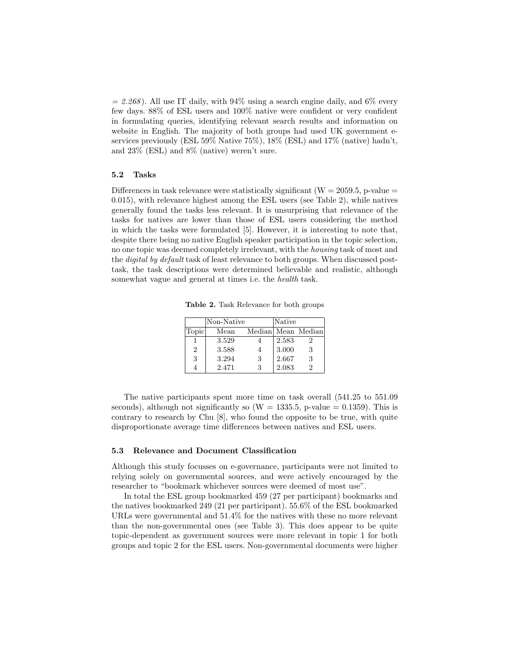$= 2.268$ ). All use IT daily, with 94% using a search engine daily, and 6% every few days. 88% of ESL users and 100% native were confident or very confident in formulating queries, identifying relevant search results and information on website in English. The majority of both groups had used UK government eservices previously (ESL 59% Native 75%), 18% (ESL) and 17% (native) hadn't, and 23% (ESL) and 8% (native) weren't sure.

#### 5.2 Tasks

Differences in task relevance were statistically significant ( $W = 2059.5$ , p-value  $=$ 0.015), with relevance highest among the ESL users (see Table 2), while natives generally found the tasks less relevant. It is unsurprising that relevance of the tasks for natives are lower than those of ESL users considering the method in which the tasks were formulated [5]. However, it is interesting to note that, despite there being no native English speaker participation in the topic selection, no one topic was deemed completely irrelevant, with the housing task of most and the *digital by default* task of least relevance to both groups. When discussed posttask, the task descriptions were determined believable and realistic, although somewhat vague and general at times i.e. the *health* task.

Table 2. Task Relevance for both groups

|                | Non-Native |                    | Native |               |
|----------------|------------|--------------------|--------|---------------|
| Topic          | Mean       | Median Mean Median |        |               |
|                | 3.529      |                    | 2.583  | $\mathcal{D}$ |
| $\overline{2}$ | 3.588      |                    | 3.000  | 3             |
| 3              | 3.294      | 3                  | 2.667  | 3             |
|                | 2.471      | 3                  | 2.083  | 2             |

The native participants spent more time on task overall (541.25 to 551.09 seconds), although not significantly so  $(W = 1335.5, p-value = 0.1359)$ . This is contrary to research by Chu [8], who found the opposite to be true, with quite disproportionate average time differences between natives and ESL users.

## 5.3 Relevance and Document Classification

Although this study focusses on e-governance, participants were not limited to relying solely on governmental sources, and were actively encouraged by the researcher to "bookmark whichever sources were deemed of most use".

In total the ESL group bookmarked 459 (27 per participant) bookmarks and the natives bookmarked 249 (21 per participant). 55.6% of the ESL bookmarked URLs were governmental and 51.4% for the natives with these no more relevant than the non-governmental ones (see Table 3). This does appear to be quite topic-dependent as government sources were more relevant in topic 1 for both groups and topic 2 for the ESL users. Non-governmental documents were higher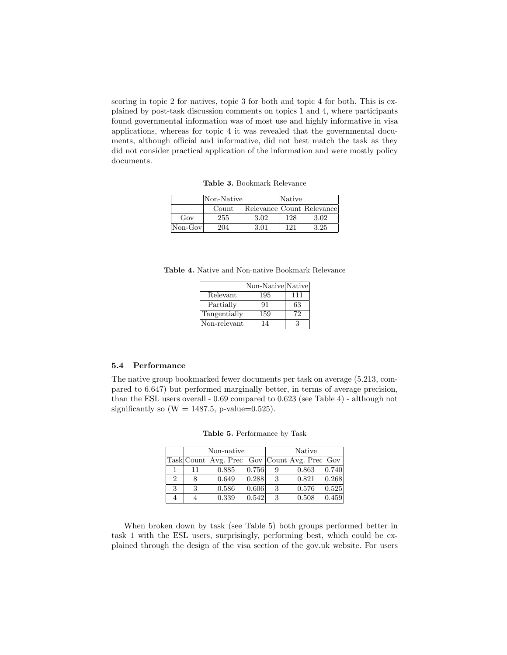scoring in topic 2 for natives, topic 3 for both and topic 4 for both. This is explained by post-task discussion comments on topics 1 and 4, where participants found governmental information was of most use and highly informative in visa applications, whereas for topic 4 it was revealed that the governmental documents, although official and informative, did not best match the task as they did not consider practical application of the information and were mostly policy documents.

Table 3. Bookmark Relevance

|             | Non-Native |      | Native |                           |  |
|-------------|------------|------|--------|---------------------------|--|
|             | Count      |      |        | Relevance Count Relevance |  |
| Gov         | 255        | 3.02 | 128    | 3.02                      |  |
| $ Non-Gov $ | 204        | 3.01 | 121    | 3.25                      |  |

Table 4. Native and Non-native Bookmark Relevance

|              | Non-Native Native |     |
|--------------|-------------------|-----|
| Relevant     | 195               | 111 |
| Partially    | 91                | 63  |
| Tangentially | 159               | 72  |
| Non-relevant | 14                | 3   |

### 5.4 Performance

The native group bookmarked fewer documents per task on average (5.213, compared to 6.647) but performed marginally better, in terms of average precision, than the ESL users overall - 0.69 compared to 0.623 (see Table 4) - although not significantly so  $(W = 1487.5, p-value=0.525)$ .

|   | Non-native |                                              |       | Native |       |       |
|---|------------|----------------------------------------------|-------|--------|-------|-------|
|   |            | Task Count Avg. Prec Gov Count Avg. Prec Gov |       |        |       |       |
|   |            | 0.885                                        | 0.756 | 9      | 0.863 | 0.740 |
|   |            | 0.649                                        | 0.288 | 3      | 0.821 | 0.268 |
| 3 |            | 0.586                                        | 0.606 | 3      | 0.576 | 0.525 |
|   |            | 0.339                                        | 0.542 |        | 0.508 | 0.459 |

Table 5. Performance by Task

When broken down by task (see Table 5) both groups performed better in task 1 with the ESL users, surprisingly, performing best, which could be explained through the design of the visa section of the gov.uk website. For users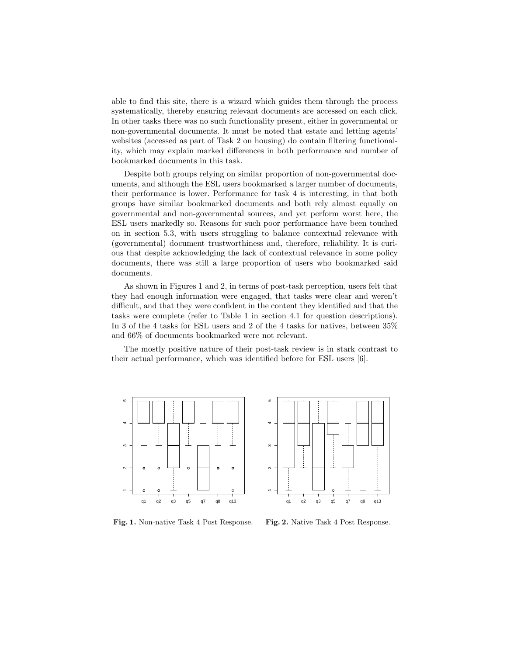able to find this site, there is a wizard which guides them through the process systematically, thereby ensuring relevant documents are accessed on each click. In other tasks there was no such functionality present, either in governmental or non-governmental documents. It must be noted that estate and letting agents' websites (accessed as part of Task 2 on housing) do contain filtering functionality, which may explain marked differences in both performance and number of bookmarked documents in this task.

Despite both groups relying on similar proportion of non-governmental documents, and although the ESL users bookmarked a larger number of documents, their performance is lower. Performance for task 4 is interesting, in that both groups have similar bookmarked documents and both rely almost equally on governmental and non-governmental sources, and yet perform worst here, the ESL users markedly so. Reasons for such poor performance have been touched on in section 5.3, with users struggling to balance contextual relevance with (governmental) document trustworthiness and, therefore, reliability. It is curious that despite acknowledging the lack of contextual relevance in some policy documents, there was still a large proportion of users who bookmarked said documents.

As shown in Figures 1 and 2, in terms of post-task perception, users felt that they had enough information were engaged, that tasks were clear and weren't difficult, and that they were confident in the content they identified and that the tasks were complete (refer to Table 1 in section 4.1 for question descriptions). In 3 of the 4 tasks for ESL users and 2 of the 4 tasks for natives, between 35% and 66% of documents bookmarked were not relevant.

The mostly positive nature of their post-task review is in stark contrast to their actual performance, which was identified before for ESL users [6].



Fig. 1. Non-native Task 4 Post Response.

Fig. 2. Native Task 4 Post Response.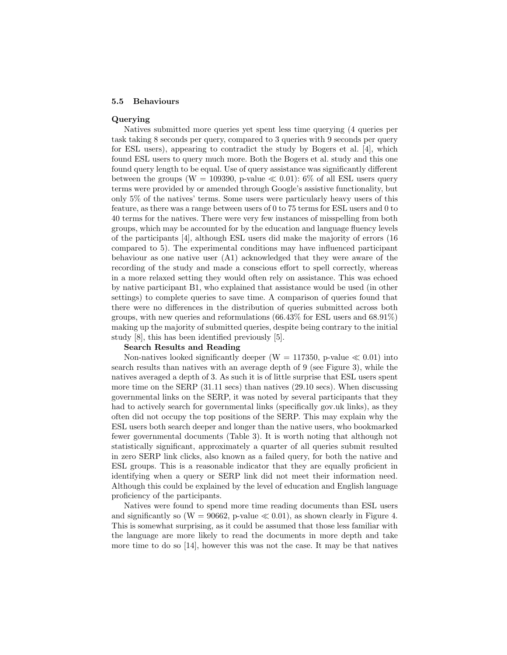#### 5.5 Behaviours

#### Querying

Natives submitted more queries yet spent less time querying (4 queries per task taking 8 seconds per query, compared to 3 queries with 9 seconds per query for ESL users), appearing to contradict the study by Bogers et al. [4], which found ESL users to query much more. Both the Bogers et al. study and this one found query length to be equal. Use of query assistance was significantly different between the groups (W = 109390, p-value  $\ll 0.01$ ): 6% of all ESL users query terms were provided by or amended through Google's assistive functionality, but only 5% of the natives' terms. Some users were particularly heavy users of this feature, as there was a range between users of 0 to 75 terms for ESL users and 0 to 40 terms for the natives. There were very few instances of misspelling from both groups, which may be accounted for by the education and language fluency levels of the participants [4], although ESL users did make the majority of errors (16 compared to 5). The experimental conditions may have influenced participant behaviour as one native user (A1) acknowledged that they were aware of the recording of the study and made a conscious effort to spell correctly, whereas in a more relaxed setting they would often rely on assistance. This was echoed by native participant B1, who explained that assistance would be used (in other settings) to complete queries to save time. A comparison of queries found that there were no differences in the distribution of queries submitted across both groups, with new queries and reformulations (66.43% for ESL users and 68.91%) making up the majority of submitted queries, despite being contrary to the initial study [8], this has been identified previously [5].

## Search Results and Reading

Non-natives looked significantly deeper (W = 117350, p-value  $\ll 0.01$ ) into search results than natives with an average depth of 9 (see Figure 3), while the natives averaged a depth of 3. As such it is of little surprise that ESL users spent more time on the SERP (31.11 secs) than natives (29.10 secs). When discussing governmental links on the SERP, it was noted by several participants that they had to actively search for governmental links (specifically gov.uk links), as they often did not occupy the top positions of the SERP. This may explain why the ESL users both search deeper and longer than the native users, who bookmarked fewer governmental documents (Table 3). It is worth noting that although not statistically significant, approximately a quarter of all queries submit resulted in zero SERP link clicks, also known as a failed query, for both the native and ESL groups. This is a reasonable indicator that they are equally proficient in identifying when a query or SERP link did not meet their information need. Although this could be explained by the level of education and English language proficiency of the participants.

Natives were found to spend more time reading documents than ESL users and significantly so  $(W = 90662, p-value \ll 0.01)$ , as shown clearly in Figure 4. This is somewhat surprising, as it could be assumed that those less familiar with the language are more likely to read the documents in more depth and take more time to do so [14], however this was not the case. It may be that natives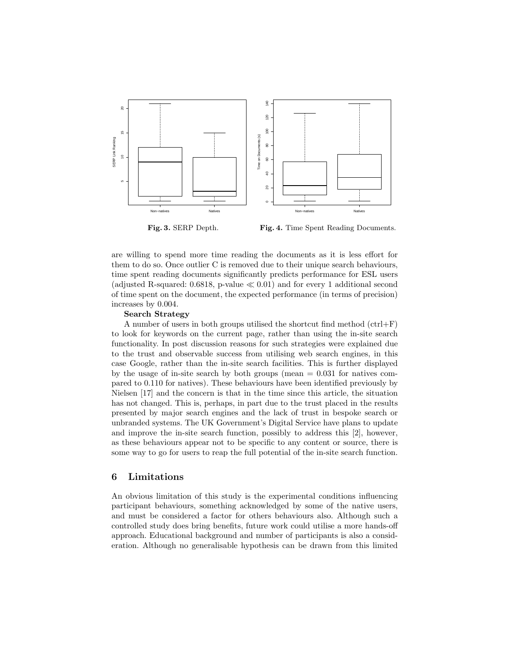

Fig. 3. SERP Depth.

Fig. 4. Time Spent Reading Documents.

are willing to spend more time reading the documents as it is less effort for them to do so. Once outlier C is removed due to their unique search behaviours, time spent reading documents significantly predicts performance for ESL users (adjusted R-squared: 0.6818, p-value  $\ll$  0.01) and for every 1 additional second of time spent on the document, the expected performance (in terms of precision) increases by 0.004.

### Search Strategy

A number of users in both groups utilised the shortcut find method  $(\text{ctrl} + \text{F})$ to look for keywords on the current page, rather than using the in-site search functionality. In post discussion reasons for such strategies were explained due to the trust and observable success from utilising web search engines, in this case Google, rather than the in-site search facilities. This is further displayed by the usage of in-site search by both groups (mean  $= 0.031$  for natives compared to 0.110 for natives). These behaviours have been identified previously by Nielsen [17] and the concern is that in the time since this article, the situation has not changed. This is, perhaps, in part due to the trust placed in the results presented by major search engines and the lack of trust in bespoke search or unbranded systems. The UK Government's Digital Service have plans to update and improve the in-site search function, possibly to address this [2], however, as these behaviours appear not to be specific to any content or source, there is some way to go for users to reap the full potential of the in-site search function.

# 6 Limitations

An obvious limitation of this study is the experimental conditions influencing participant behaviours, something acknowledged by some of the native users, and must be considered a factor for others behaviours also. Although such a controlled study does bring benefits, future work could utilise a more hands-off approach. Educational background and number of participants is also a consideration. Although no generalisable hypothesis can be drawn from this limited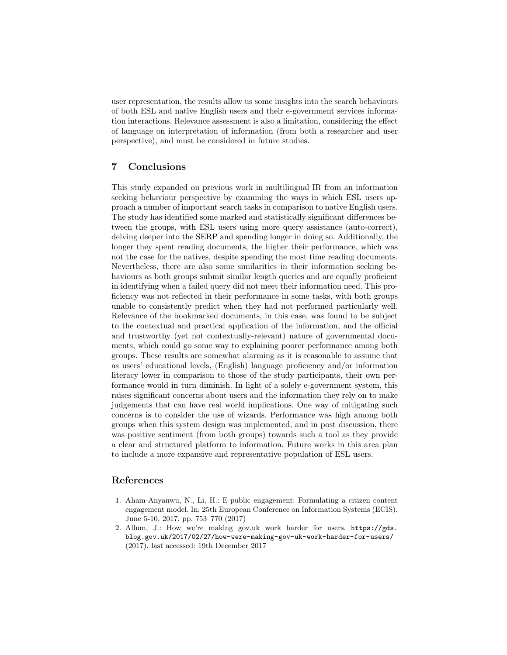user representation, the results allow us some insights into the search behaviours of both ESL and native English users and their e-government services information interactions. Relevance assessment is also a limitation, considering the effect of language on interpretation of information (from both a researcher and user perspective), and must be considered in future studies.

# 7 Conclusions

This study expanded on previous work in multilingual IR from an information seeking behaviour perspective by examining the ways in which ESL users approach a number of important search tasks in comparison to native English users. The study has identified some marked and statistically significant differences between the groups, with ESL users using more query assistance (auto-correct), delving deeper into the SERP and spending longer in doing so. Additionally, the longer they spent reading documents, the higher their performance, which was not the case for the natives, despite spending the most time reading documents. Nevertheless, there are also some similarities in their information seeking behaviours as both groups submit similar length queries and are equally proficient in identifying when a failed query did not meet their information need. This proficiency was not reflected in their performance in some tasks, with both groups unable to consistently predict when they had not performed particularly well. Relevance of the bookmarked documents, in this case, was found to be subject to the contextual and practical application of the information, and the official and trustworthy (yet not contextually-relevant) nature of governmental documents, which could go some way to explaining poorer performance among both groups. These results are somewhat alarming as it is reasonable to assume that as users' educational levels, (English) language proficiency and/or information literacy lower in comparison to those of the study participants, their own performance would in turn diminish. In light of a solely e-government system, this raises significant concerns about users and the information they rely on to make judgements that can have real world implications. One way of mitigating such concerns is to consider the use of wizards. Performance was high among both groups when this system design was implemented, and in post discussion, there was positive sentiment (from both groups) towards such a tool as they provide a clear and structured platform to information. Future works in this area plan to include a more expansive and representative population of ESL users.

# References

- 1. Aham-Anyanwu, N., Li, H.: E-public engagement: Formulating a citizen content engagement model. In: 25th European Conference on Information Systems (ECIS), June 5-10, 2017. pp. 753–770 (2017)
- 2. Allum, J.: How we're making gov.uk work harder for users. https://gds. blog.gov.uk/2017/02/27/how-were-making-gov-uk-work-harder-for-users/ (2017), last accessed: 19th December 2017